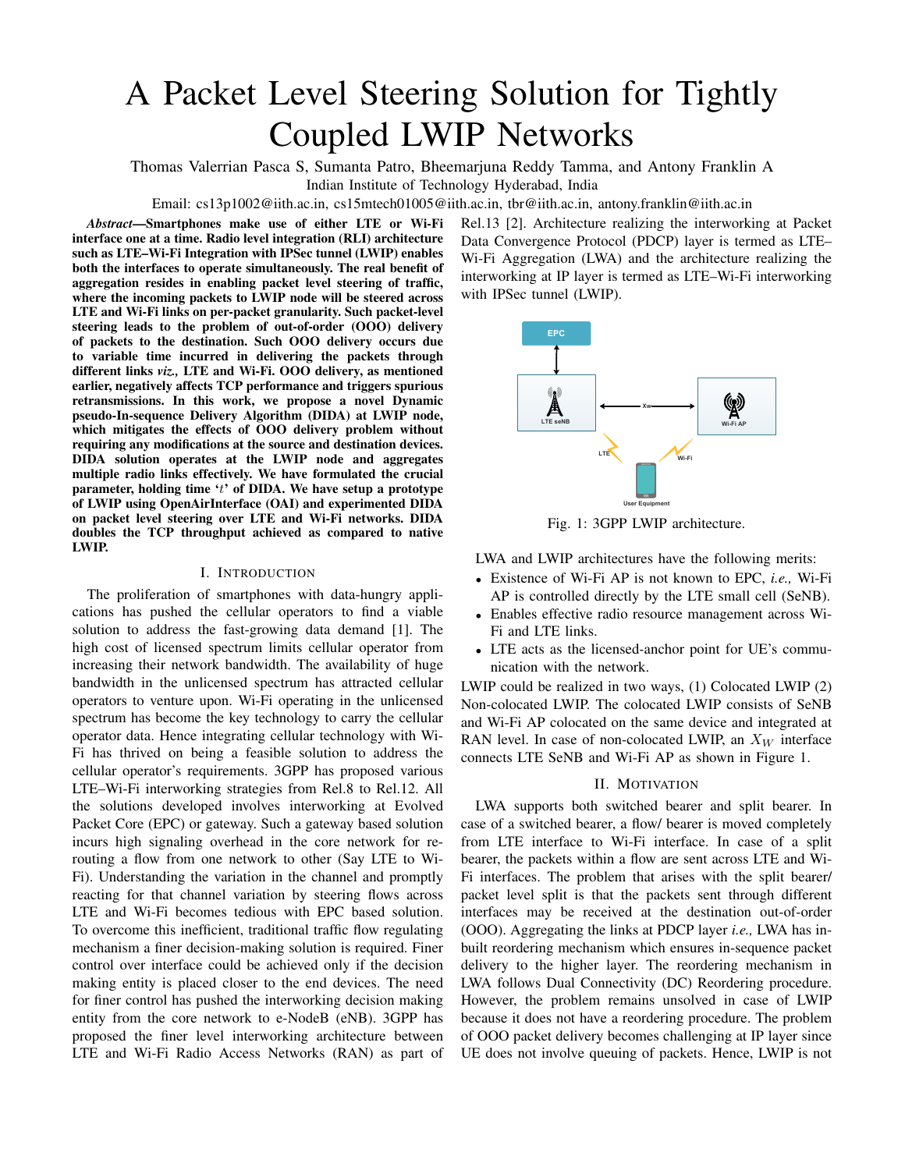# A Packet Level Steering Solution for Tightly Coupled LWIP Networks

Thomas Valerrian Pasca S, Sumanta Patro, Bheemarjuna Reddy Tamma, and Antony Franklin A

Indian Institute of Technology Hyderabad, India

Email: cs13p1002@iith.ac.in, cs15mtech01005@iith.ac.in, tbr@iith.ac.in, antony.franklin@iith.ac.in

*Abstract*—Smartphones make use of either LTE or Wi-Fi interface one at a time. Radio level integration (RLI) architecture such as LTE–Wi-Fi Integration with IPSec tunnel (LWIP) enables both the interfaces to operate simultaneously. The real benefit of aggregation resides in enabling packet level steering of traffic, where the incoming packets to LWIP node will be steered across LTE and Wi-Fi links on per-packet granularity. Such packet-level steering leads to the problem of out-of-order (OOO) delivery of packets to the destination. Such OOO delivery occurs due to variable time incurred in delivering the packets through different links *viz.,* LTE and Wi-Fi. OOO delivery, as mentioned earlier, negatively affects TCP performance and triggers spurious retransmissions. In this work, we propose a novel Dynamic pseudo-In-sequence Delivery Algorithm (DIDA) at LWIP node, which mitigates the effects of OOO delivery problem without requiring any modifications at the source and destination devices. DIDA solution operates at the LWIP node and aggregates multiple radio links effectively. We have formulated the crucial parameter, holding time 't' of DIDA. We have setup a prototype of LWIP using OpenAirInterface (OAI) and experimented DIDA on packet level steering over LTE and Wi-Fi networks. DIDA doubles the TCP throughput achieved as compared to native LWIP.

#### I. INTRODUCTION

The proliferation of smartphones with data-hungry applications has pushed the cellular operators to find a viable solution to address the fast-growing data demand [1]. The high cost of licensed spectrum limits cellular operator from increasing their network bandwidth. The availability of huge bandwidth in the unlicensed spectrum has attracted cellular operators to venture upon. Wi-Fi operating in the unlicensed spectrum has become the key technology to carry the cellular operator data. Hence integrating cellular technology with Wi-Fi has thrived on being a feasible solution to address the cellular operator's requirements. 3GPP has proposed various LTE–Wi-Fi interworking strategies from Rel.8 to Rel.12. All the solutions developed involves interworking at Evolved Packet Core (EPC) or gateway. Such a gateway based solution incurs high signaling overhead in the core network for rerouting a flow from one network to other (Say LTE to Wi-Fi). Understanding the variation in the channel and promptly reacting for that channel variation by steering flows across LTE and Wi-Fi becomes tedious with EPC based solution. To overcome this inefficient, traditional traffic flow regulating mechanism a finer decision-making solution is required. Finer control over interface could be achieved only if the decision making entity is placed closer to the end devices. The need for finer control has pushed the interworking decision making entity from the core network to e-NodeB (eNB). 3GPP has proposed the finer level interworking architecture between LTE and Wi-Fi Radio Access Networks (RAN) as part of Rel.13 [2]. Architecture realizing the interworking at Packet Data Convergence Protocol (PDCP) layer is termed as LTE– Wi-Fi Aggregation (LWA) and the architecture realizing the interworking at IP layer is termed as LTE–Wi-Fi interworking with IPSec tunnel (LWIP).



Fig. 1: 3GPP LWIP architecture.

LWA and LWIP architectures have the following merits:

- Existence of Wi-Fi AP is not known to EPC, *i.e.,* Wi-Fi AP is controlled directly by the LTE small cell (SeNB).
- Enables effective radio resource management across Wi-Fi and LTE links.
- LTE acts as the licensed-anchor point for UE's communication with the network.

LWIP could be realized in two ways, (1) Colocated LWIP (2) Non-colocated LWIP. The colocated LWIP consists of SeNB and Wi-Fi AP colocated on the same device and integrated at RAN level. In case of non-colocated LWIP, an  $X_W$  interface connects LTE SeNB and Wi-Fi AP as shown in Figure 1.

#### II. MOTIVATION

LWA supports both switched bearer and split bearer. In case of a switched bearer, a flow/ bearer is moved completely from LTE interface to Wi-Fi interface. In case of a split bearer, the packets within a flow are sent across LTE and Wi-Fi interfaces. The problem that arises with the split bearer/ packet level split is that the packets sent through different interfaces may be received at the destination out-of-order (OOO). Aggregating the links at PDCP layer *i.e.,* LWA has inbuilt reordering mechanism which ensures in-sequence packet delivery to the higher layer. The reordering mechanism in LWA follows Dual Connectivity (DC) Reordering procedure. However, the problem remains unsolved in case of LWIP because it does not have a reordering procedure. The problem of OOO packet delivery becomes challenging at IP layer since UE does not involve queuing of packets. Hence, LWIP is not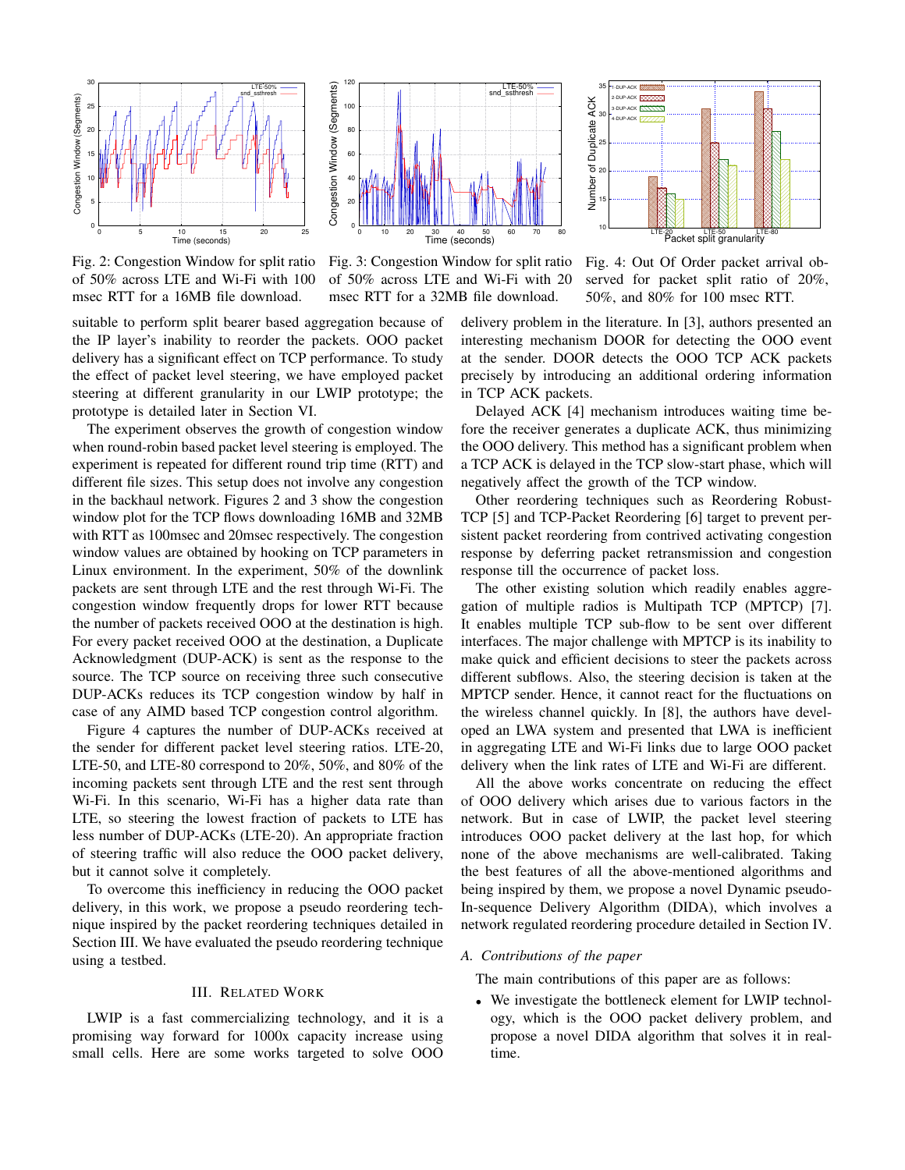

Fig. 2: Congestion Window for split ratio of 50% across LTE and Wi-Fi with 100 msec RTT for a 16MB file download.



Fig. 3: Congestion Window for split ratio of 50% across LTE and Wi-Fi with 20 msec RTT for a 32MB file download.



Fig. 4: Out Of Order packet arrival observed for packet split ratio of 20%, 50%, and 80% for 100 msec RTT.

suitable to perform split bearer based aggregation because of the IP layer's inability to reorder the packets. OOO packet delivery has a significant effect on TCP performance. To study the effect of packet level steering, we have employed packet steering at different granularity in our LWIP prototype; the prototype is detailed later in Section VI.

The experiment observes the growth of congestion window when round-robin based packet level steering is employed. The experiment is repeated for different round trip time (RTT) and different file sizes. This setup does not involve any congestion in the backhaul network. Figures 2 and 3 show the congestion window plot for the TCP flows downloading 16MB and 32MB with RTT as 100msec and 20msec respectively. The congestion window values are obtained by hooking on TCP parameters in Linux environment. In the experiment, 50% of the downlink packets are sent through LTE and the rest through Wi-Fi. The congestion window frequently drops for lower RTT because the number of packets received OOO at the destination is high. For every packet received OOO at the destination, a Duplicate Acknowledgment (DUP-ACK) is sent as the response to the source. The TCP source on receiving three such consecutive DUP-ACKs reduces its TCP congestion window by half in case of any AIMD based TCP congestion control algorithm.

Figure 4 captures the number of DUP-ACKs received at the sender for different packet level steering ratios. LTE-20, LTE-50, and LTE-80 correspond to 20%, 50%, and 80% of the incoming packets sent through LTE and the rest sent through Wi-Fi. In this scenario, Wi-Fi has a higher data rate than LTE, so steering the lowest fraction of packets to LTE has less number of DUP-ACKs (LTE-20). An appropriate fraction of steering traffic will also reduce the OOO packet delivery, but it cannot solve it completely.

To overcome this inefficiency in reducing the OOO packet delivery, in this work, we propose a pseudo reordering technique inspired by the packet reordering techniques detailed in Section III. We have evaluated the pseudo reordering technique using a testbed.

## III. RELATED WORK

LWIP is a fast commercializing technology, and it is a promising way forward for 1000x capacity increase using small cells. Here are some works targeted to solve OOO delivery problem in the literature. In [3], authors presented an interesting mechanism DOOR for detecting the OOO event at the sender. DOOR detects the OOO TCP ACK packets precisely by introducing an additional ordering information in TCP ACK packets.

Delayed ACK [4] mechanism introduces waiting time before the receiver generates a duplicate ACK, thus minimizing the OOO delivery. This method has a significant problem when a TCP ACK is delayed in the TCP slow-start phase, which will negatively affect the growth of the TCP window.

Other reordering techniques such as Reordering Robust-TCP [5] and TCP-Packet Reordering [6] target to prevent persistent packet reordering from contrived activating congestion response by deferring packet retransmission and congestion response till the occurrence of packet loss.

The other existing solution which readily enables aggregation of multiple radios is Multipath TCP (MPTCP) [7]. It enables multiple TCP sub-flow to be sent over different interfaces. The major challenge with MPTCP is its inability to make quick and efficient decisions to steer the packets across different subflows. Also, the steering decision is taken at the MPTCP sender. Hence, it cannot react for the fluctuations on the wireless channel quickly. In [8], the authors have developed an LWA system and presented that LWA is inefficient in aggregating LTE and Wi-Fi links due to large OOO packet delivery when the link rates of LTE and Wi-Fi are different.

All the above works concentrate on reducing the effect of OOO delivery which arises due to various factors in the network. But in case of LWIP, the packet level steering introduces OOO packet delivery at the last hop, for which none of the above mechanisms are well-calibrated. Taking the best features of all the above-mentioned algorithms and being inspired by them, we propose a novel Dynamic pseudo-In-sequence Delivery Algorithm (DIDA), which involves a network regulated reordering procedure detailed in Section IV.

#### *A. Contributions of the paper*

The main contributions of this paper are as follows:

• We investigate the bottleneck element for LWIP technology, which is the OOO packet delivery problem, and propose a novel DIDA algorithm that solves it in realtime.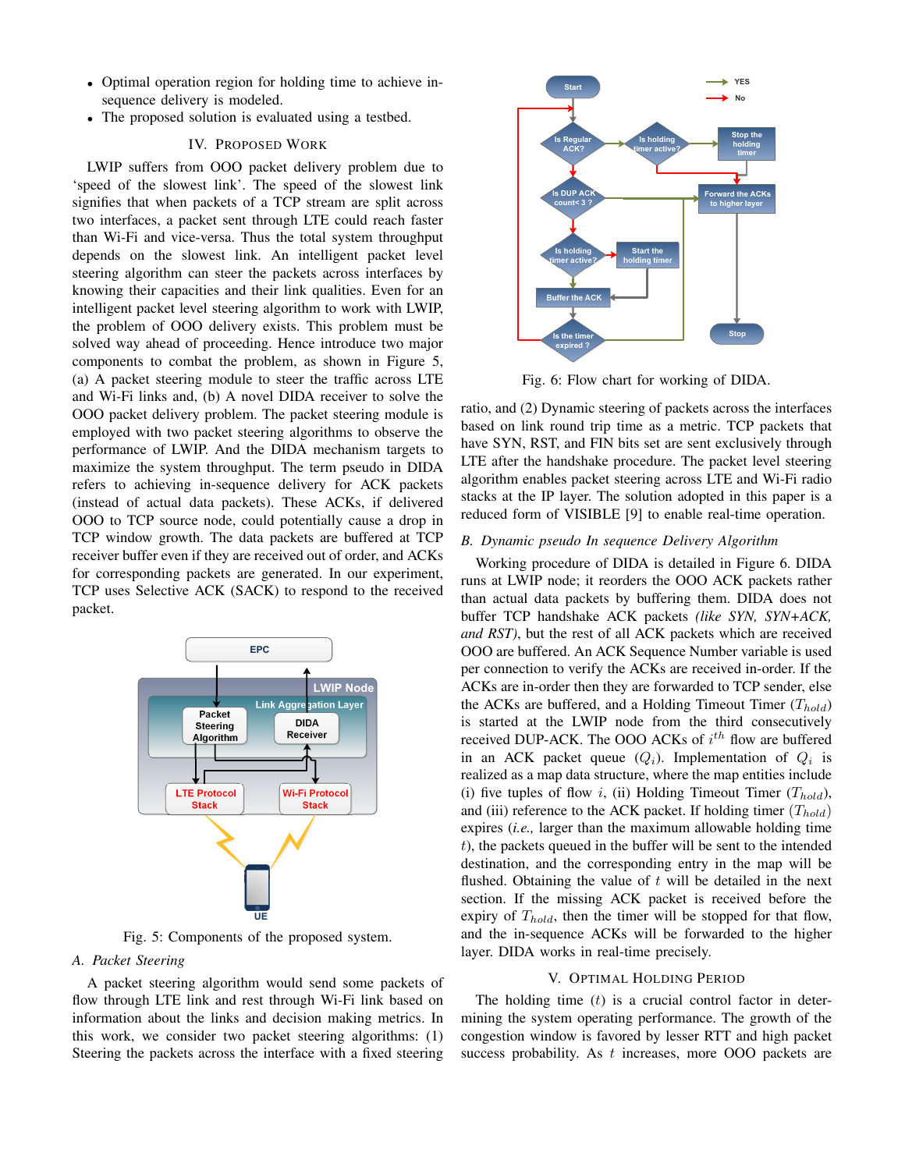- Optimal operation region for holding time to achieve insequence delivery is modeled.
- The proposed solution is evaluated using a testbed.

## IV. PROPOSED WORK

LWIP suffers from OOO packet delivery problem due to 'speed of the slowest link'. The speed of the slowest link signifies that when packets of a TCP stream are split across two interfaces, a packet sent through LTE could reach faster than Wi-Fi and vice-versa. Thus the total system throughput depends on the slowest link. An intelligent packet level steering algorithm can steer the packets across interfaces by knowing their capacities and their link qualities. Even for an intelligent packet level steering algorithm to work with LWIP, the problem of OOO delivery exists. This problem must be solved way ahead of proceeding. Hence introduce two major components to combat the problem, as shown in Figure 5, (a) A packet steering module to steer the traffic across LTE and Wi-Fi links and, (b) A novel DIDA receiver to solve the OOO packet delivery problem. The packet steering module is employed with two packet steering algorithms to observe the performance of LWIP. And the DIDA mechanism targets to maximize the system throughput. The term pseudo in DIDA refers to achieving in-sequence delivery for ACK packets (instead of actual data packets). These ACKs, if delivered OOO to TCP source node, could potentially cause a drop in TCP window growth. The data packets are buffered at TCP receiver buffer even if they are received out of order, and ACKs for corresponding packets are generated. In our experiment, TCP uses Selective ACK (SACK) to respond to the received packet.



Fig. 5: Components of the proposed system.

## *A. Packet Steering*

A packet steering algorithm would send some packets of flow through LTE link and rest through Wi-Fi link based on information about the links and decision making metrics. In this work, we consider two packet steering algorithms: (1) Steering the packets across the interface with a fixed steering



Fig. 6: Flow chart for working of DIDA.

ratio, and (2) Dynamic steering of packets across the interfaces based on link round trip time as a metric. TCP packets that have SYN, RST, and FIN bits set are sent exclusively through LTE after the handshake procedure. The packet level steering algorithm enables packet steering across LTE and Wi-Fi radio stacks at the IP layer. The solution adopted in this paper is a reduced form of VISIBLE [9] to enable real-time operation.

#### *B. Dynamic pseudo In sequence Delivery Algorithm*

Working procedure of DIDA is detailed in Figure 6. DIDA runs at LWIP node; it reorders the OOO ACK packets rather than actual data packets by buffering them. DIDA does not buffer TCP handshake ACK packets *(like SYN, SYN+ACK, and RST)*, but the rest of all ACK packets which are received OOO are buffered. An ACK Sequence Number variable is used per connection to verify the ACKs are received in-order. If the ACKs are in-order then they are forwarded to TCP sender, else the ACKs are buffered, and a Holding Timeout Timer  $(T_{hold})$ is started at the LWIP node from the third consecutively received DUP-ACK. The OOO ACKs of  $i^{th}$  flow are buffered in an ACK packet queue  $(Q_i)$ . Implementation of  $Q_i$  is realized as a map data structure, where the map entities include (i) five tuples of flow i, (ii) Holding Timeout Timer  $(T_{hold})$ , and (iii) reference to the ACK packet. If holding timer  $(T_{hold})$ expires (*i.e.,* larger than the maximum allowable holding time t), the packets queued in the buffer will be sent to the intended destination, and the corresponding entry in the map will be flushed. Obtaining the value of  $t$  will be detailed in the next section. If the missing ACK packet is received before the expiry of  $T_{hold}$ , then the timer will be stopped for that flow, and the in-sequence ACKs will be forwarded to the higher layer. DIDA works in real-time precisely.

## V. OPTIMAL HOLDING PERIOD

The holding time  $(t)$  is a crucial control factor in determining the system operating performance. The growth of the congestion window is favored by lesser RTT and high packet success probability. As  $t$  increases, more OOO packets are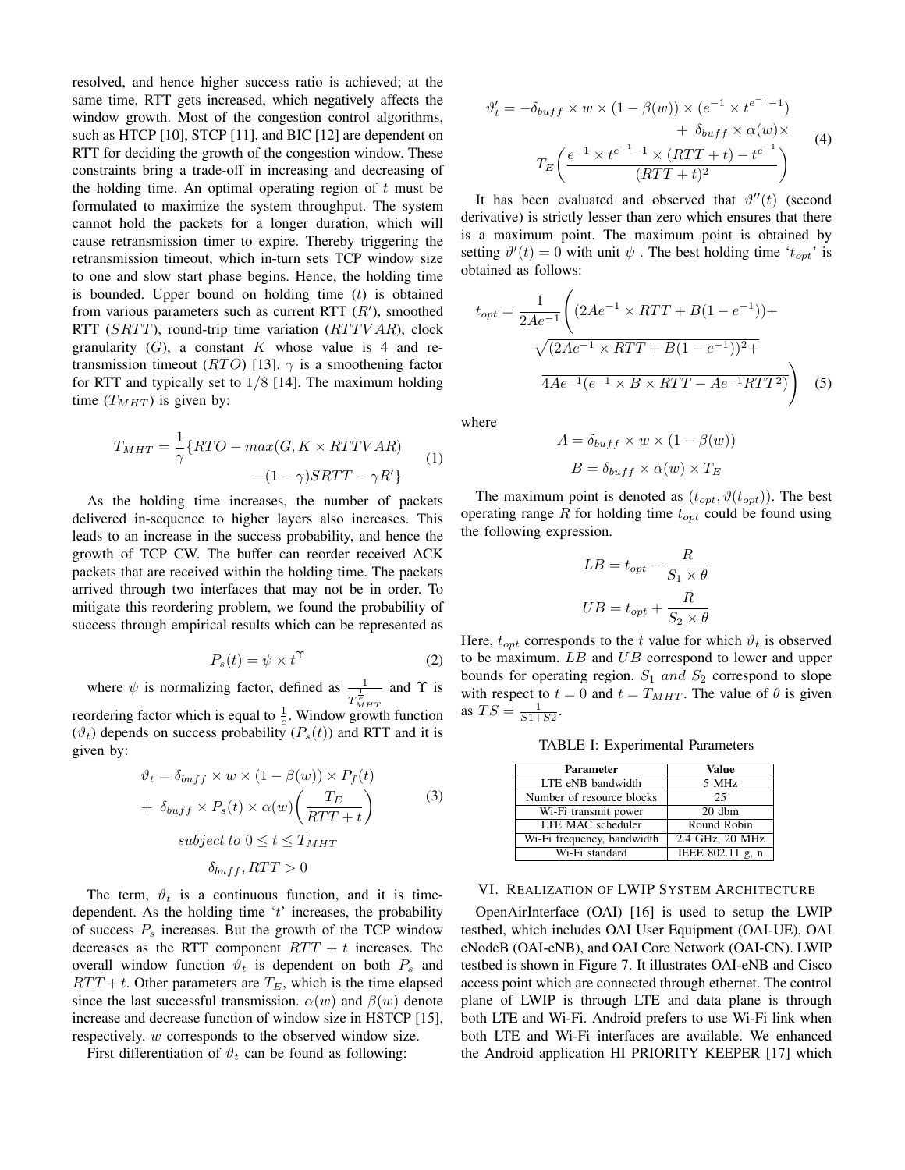resolved, and hence higher success ratio is achieved; at the same time, RTT gets increased, which negatively affects the window growth. Most of the congestion control algorithms, such as HTCP [10], STCP [11], and BIC [12] are dependent on RTT for deciding the growth of the congestion window. These constraints bring a trade-off in increasing and decreasing of the holding time. An optimal operating region of  $t$  must be formulated to maximize the system throughput. The system cannot hold the packets for a longer duration, which will cause retransmission timer to expire. Thereby triggering the retransmission timeout, which in-turn sets TCP window size to one and slow start phase begins. Hence, the holding time is bounded. Upper bound on holding time  $(t)$  is obtained from various parameters such as current RTT  $(R')$ , smoothed RTT ( $SRTT$ ), round-trip time variation ( $RTTVAR$ ), clock granularity  $(G)$ , a constant K whose value is 4 and retransmission timeout (RTO) [13].  $\gamma$  is a smoothening factor for RTT and typically set to  $1/8$  [14]. The maximum holding time  $(T_{MHT})$  is given by:

$$
T_{MHT} = \frac{1}{\gamma} \{ RTO - max(G, K \times RTTVAR) - (1 - \gamma) SRTT - \gamma R' \}
$$
 (1)

As the holding time increases, the number of packets delivered in-sequence to higher layers also increases. This leads to an increase in the success probability, and hence the growth of TCP CW. The buffer can reorder received ACK packets that are received within the holding time. The packets arrived through two interfaces that may not be in order. To mitigate this reordering problem, we found the probability of success through empirical results which can be represented as

$$
P_s(t) = \psi \times t^{\Upsilon} \tag{2}
$$

where  $\psi$  is normalizing factor, defined as  $\frac{1}{T_{MHT}^{\frac{1}{e}}}$ and Υ is reordering factor which is equal to  $\frac{1}{e}$ . Window growth function  $(\vartheta_t)$  depends on success probability  $(P_s(t))$  and RTT and it is given by:

$$
\vartheta_t = \delta_{buff} \times w \times (1 - \beta(w)) \times P_f(t)
$$
  
+ 
$$
\delta_{buff} \times P_s(t) \times \alpha(w) \left(\frac{T_E}{RTT + t}\right)
$$
  
subject to 
$$
0 \le t \le T_{MHT}
$$
  

$$
\delta_{buff}, RTT > 0
$$
 (3)

The term,  $\vartheta_t$  is a continuous function, and it is timedependent. As the holding time  $'t'$  increases, the probability of success  $P_s$  increases. But the growth of the TCP window decreases as the RTT component  $RTT + t$  increases. The overall window function  $\vartheta_t$  is dependent on both  $P_s$  and  $RTT + t$ . Other parameters are  $T_E$ , which is the time elapsed since the last successful transmission.  $\alpha(w)$  and  $\beta(w)$  denote increase and decrease function of window size in HSTCP [15], respectively. w corresponds to the observed window size.

First differentiation of  $\vartheta_t$  can be found as following:

$$
\vartheta'_{t} = -\delta_{buff} \times w \times (1 - \beta(w)) \times (e^{-1} \times t^{e^{-1} - 1})
$$

$$
+ \delta_{buff} \times \alpha(w) \times
$$

$$
T_E\left(\frac{e^{-1} \times t^{e^{-1} - 1} \times (RTT + t) - t^{e^{-1}}}{(RTT + t)^2}\right)
$$
(4)

It has been evaluated and observed that  $\vartheta''(t)$  (second derivative) is strictly lesser than zero which ensures that there is a maximum point. The maximum point is obtained by setting  $\vartheta'(t) = 0$  with unit  $\psi$ . The best holding time ' $t_{opt}$ ' is obtained as follows:

$$
t_{opt} = \frac{1}{2Ae^{-1}} \left( (2Ae^{-1} \times RTT + B(1 - e^{-1})) + \sqrt{(2Ae^{-1} \times RTT + B(1 - e^{-1}))^2 + 4Ae^{-1}(e^{-1} \times B \times RTT - Ae^{-1}RTT^2)} \right)
$$
(5)

where

$$
A = \delta_{buff} \times w \times (1 - \beta(w))
$$
  

$$
B = \delta_{buff} \times \alpha(w) \times T_E
$$

The maximum point is denoted as  $(t_{opt}, \vartheta(t_{opt}))$ . The best operating range  $R$  for holding time  $t_{opt}$  could be found using the following expression.

$$
LB = t_{opt} - \frac{R}{S_1 \times \theta}
$$

$$
UB = t_{opt} + \frac{R}{S_2 \times \theta}
$$

Here,  $t_{opt}$  corresponds to the t value for which  $\vartheta_t$  is observed to be maximum.  $LB$  and  $UB$  correspond to lower and upper bounds for operating region.  $S_1$  and  $S_2$  correspond to slope with respect to  $t = 0$  and  $t = T_{MHT}$ . The value of  $\theta$  is given as  $TS = \frac{1}{S1 + S2}$ .

TABLE I: Experimental Parameters

| <b>Parameter</b>           | Value            |
|----------------------------|------------------|
| LTE eNB bandwidth          | 5 MHz            |
| Number of resource blocks  | 25               |
| Wi-Fi transmit power       | 20 dbm           |
| <b>LTE MAC</b> scheduler   | Round Robin      |
| Wi-Fi frequency, bandwidth | 2.4 GHz, 20 MHz  |
| Wi-Fi standard             | IEEE 802.11 g, n |

#### VI. REALIZATION OF LWIP SYSTEM ARCHITECTURE

OpenAirInterface (OAI) [16] is used to setup the LWIP testbed, which includes OAI User Equipment (OAI-UE), OAI eNodeB (OAI-eNB), and OAI Core Network (OAI-CN). LWIP testbed is shown in Figure 7. It illustrates OAI-eNB and Cisco access point which are connected through ethernet. The control plane of LWIP is through LTE and data plane is through both LTE and Wi-Fi. Android prefers to use Wi-Fi link when both LTE and Wi-Fi interfaces are available. We enhanced the Android application HI PRIORITY KEEPER [17] which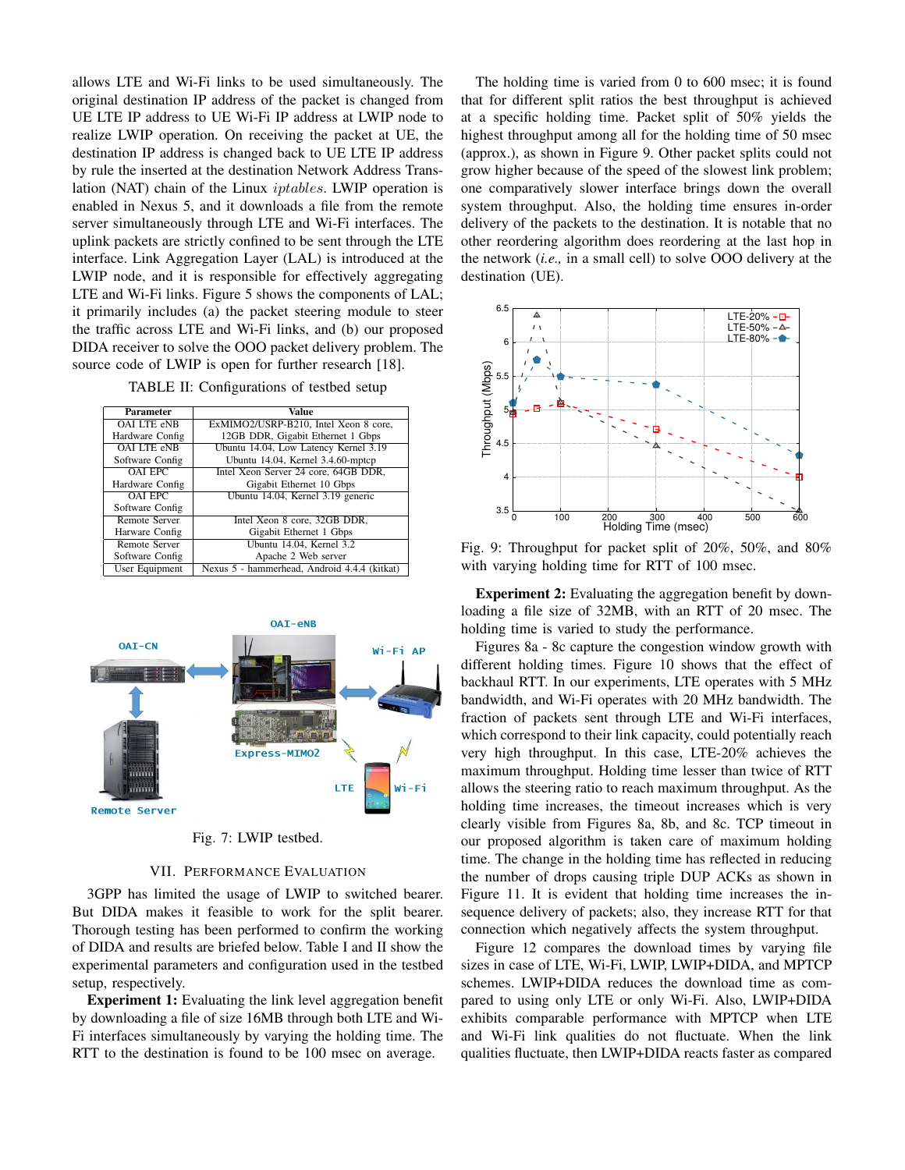allows LTE and Wi-Fi links to be used simultaneously. The original destination IP address of the packet is changed from UE LTE IP address to UE Wi-Fi IP address at LWIP node to realize LWIP operation. On receiving the packet at UE, the destination IP address is changed back to UE LTE IP address by rule the inserted at the destination Network Address Translation (NAT) chain of the Linux iptables. LWIP operation is enabled in Nexus 5, and it downloads a file from the remote server simultaneously through LTE and Wi-Fi interfaces. The uplink packets are strictly confined to be sent through the LTE interface. Link Aggregation Layer (LAL) is introduced at the LWIP node, and it is responsible for effectively aggregating LTE and Wi-Fi links. Figure 5 shows the components of LAL; it primarily includes (a) the packet steering module to steer the traffic across LTE and Wi-Fi links, and (b) our proposed DIDA receiver to solve the OOO packet delivery problem. The source code of LWIP is open for further research [18].

| TABLE II: Configurations of testbed setup |  |  |  |
|-------------------------------------------|--|--|--|
|-------------------------------------------|--|--|--|

| Parameter            | Value                                        |
|----------------------|----------------------------------------------|
| <b>OAI LTE eNB</b>   | ExMIMO2/USRP-B210, Intel Xeon 8 core,        |
| Hardware Config      | 12GB DDR, Gigabit Ethernet 1 Gbps            |
| <b>OAI LTE eNB</b>   | Ubuntu 14.04, Low Latency Kernel 3.19        |
| Software Config      | Ubuntu 14.04, Kernel 3.4.60-mptcp            |
| <b>OAI EPC</b>       | Intel Xeon Server 24 core, 64GB DDR,         |
| Hardware Config      | Gigabit Ethernet 10 Gbps                     |
| <b>OAI EPC</b>       | Ubuntu 14.04, Kernel 3.19 generic            |
| Software Config      |                                              |
| <b>Remote Server</b> | Intel Xeon 8 core, 32GB DDR,                 |
| Harware Config       | Gigabit Ethernet 1 Gbps                      |
| Remote Server        | Ubuntu 14.04, Kernel 3.2                     |
| Software Config      | Apache 2 Web server                          |
| User Equipment       | Nexus 5 - hammerhead, Android 4.4.4 (kitkat) |



Fig. 7: LWIP testbed.

### VII. PERFORMANCE EVALUATION

3GPP has limited the usage of LWIP to switched bearer. But DIDA makes it feasible to work for the split bearer. Thorough testing has been performed to confirm the working of DIDA and results are briefed below. Table I and II show the experimental parameters and configuration used in the testbed setup, respectively.

Experiment 1: Evaluating the link level aggregation benefit by downloading a file of size 16MB through both LTE and Wi-Fi interfaces simultaneously by varying the holding time. The RTT to the destination is found to be 100 msec on average.

The holding time is varied from 0 to 600 msec; it is found that for different split ratios the best throughput is achieved at a specific holding time. Packet split of 50% yields the highest throughput among all for the holding time of 50 msec (approx.), as shown in Figure 9. Other packet splits could not grow higher because of the speed of the slowest link problem; one comparatively slower interface brings down the overall system throughput. Also, the holding time ensures in-order delivery of the packets to the destination. It is notable that no other reordering algorithm does reordering at the last hop in the network (*i.e.,* in a small cell) to solve OOO delivery at the destination (UE).



Fig. 9: Throughput for packet split of 20%, 50%, and 80% with varying holding time for RTT of 100 msec.

Experiment 2: Evaluating the aggregation benefit by downloading a file size of 32MB, with an RTT of 20 msec. The holding time is varied to study the performance.

Figures 8a - 8c capture the congestion window growth with different holding times. Figure 10 shows that the effect of backhaul RTT. In our experiments, LTE operates with 5 MHz bandwidth, and Wi-Fi operates with 20 MHz bandwidth. The fraction of packets sent through LTE and Wi-Fi interfaces, which correspond to their link capacity, could potentially reach very high throughput. In this case, LTE-20% achieves the maximum throughput. Holding time lesser than twice of RTT allows the steering ratio to reach maximum throughput. As the holding time increases, the timeout increases which is very clearly visible from Figures 8a, 8b, and 8c. TCP timeout in our proposed algorithm is taken care of maximum holding time. The change in the holding time has reflected in reducing the number of drops causing triple DUP ACKs as shown in Figure 11. It is evident that holding time increases the insequence delivery of packets; also, they increase RTT for that connection which negatively affects the system throughput.

Figure 12 compares the download times by varying file sizes in case of LTE, Wi-Fi, LWIP, LWIP+DIDA, and MPTCP schemes. LWIP+DIDA reduces the download time as compared to using only LTE or only Wi-Fi. Also, LWIP+DIDA exhibits comparable performance with MPTCP when LTE and Wi-Fi link qualities do not fluctuate. When the link qualities fluctuate, then LWIP+DIDA reacts faster as compared